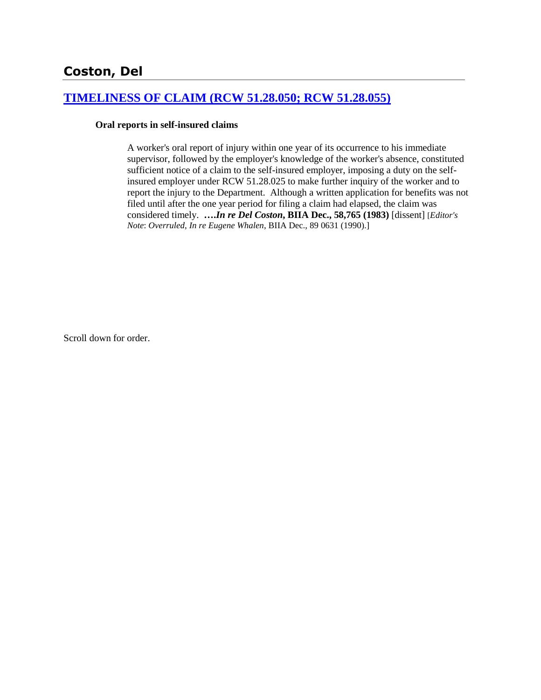## **[TIMELINESS OF CLAIM \(RCW 51.28.050; RCW 51.28.055\)](http://www.biia.wa.gov/SDSubjectIndex.html#TIMELINESS_OF_CLAIM)**

#### **Oral reports in self-insured claims**

A worker's oral report of injury within one year of its occurrence to his immediate supervisor, followed by the employer's knowledge of the worker's absence, constituted sufficient notice of a claim to the self-insured employer, imposing a duty on the selfinsured employer under RCW 51.28.025 to make further inquiry of the worker and to report the injury to the Department. Although a written application for benefits was not filed until after the one year period for filing a claim had elapsed, the claim was considered timely. **….***In re Del Coston***, BIIA Dec., 58,765 (1983)** [dissent] [*Editor's Note*: *Overruled*, *In re Eugene Whalen*, BIIA Dec., 89 0631 (1990).]

Scroll down for order.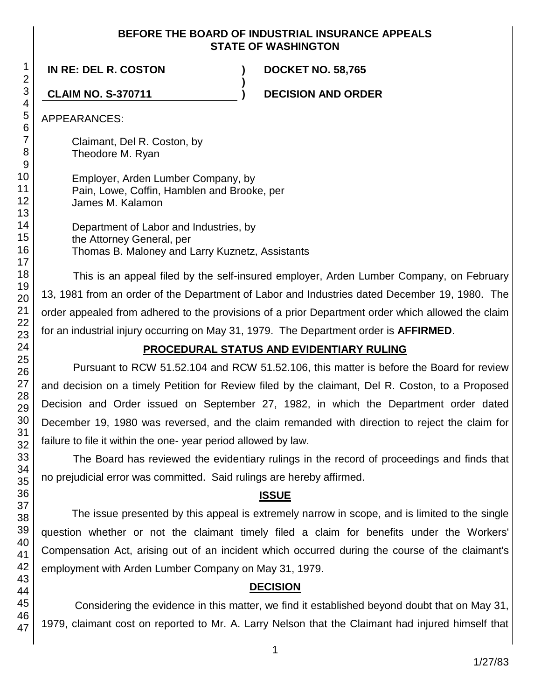## **BEFORE THE BOARD OF INDUSTRIAL INSURANCE APPEALS STATE OF WASHINGTON**

**)**

**IN RE: DEL R. COSTON ) DOCKET NO. 58,765**

**CLAIM NO. S-370711 ) DECISION AND ORDER**

APPEARANCES:

Claimant, Del R. Coston, by Theodore M. Ryan

Employer, Arden Lumber Company, by Pain, Lowe, Coffin, Hamblen and Brooke, per James M. Kalamon

Department of Labor and Industries, by the Attorney General, per Thomas B. Maloney and Larry Kuznetz, Assistants

This is an appeal filed by the self-insured employer, Arden Lumber Company, on February 13, 1981 from an order of the Department of Labor and Industries dated December 19, 1980. The order appealed from adhered to the provisions of a prior Department order which allowed the claim for an industrial injury occurring on May 31, 1979. The Department order is **AFFIRMED**.

## **PROCEDURAL STATUS AND EVIDENTIARY RULING**

Pursuant to RCW 51.52.104 and RCW 51.52.106, this matter is before the Board for review and decision on a timely Petition for Review filed by the claimant, Del R. Coston, to a Proposed Decision and Order issued on September 27, 1982, in which the Department order dated December 19, 1980 was reversed, and the claim remanded with direction to reject the claim for failure to file it within the one- year period allowed by law.

The Board has reviewed the evidentiary rulings in the record of proceedings and finds that no prejudicial error was committed. Said rulings are hereby affirmed.

## **ISSUE**

The issue presented by this appeal is extremely narrow in scope, and is limited to the single question whether or not the claimant timely filed a claim for benefits under the Workers' Compensation Act, arising out of an incident which occurred during the course of the claimant's employment with Arden Lumber Company on May 31, 1979.

# **DECISION**

Considering the evidence in this matter, we find it established beyond doubt that on May 31, 1979, claimant cost on reported to Mr. A. Larry Nelson that the Claimant had injured himself that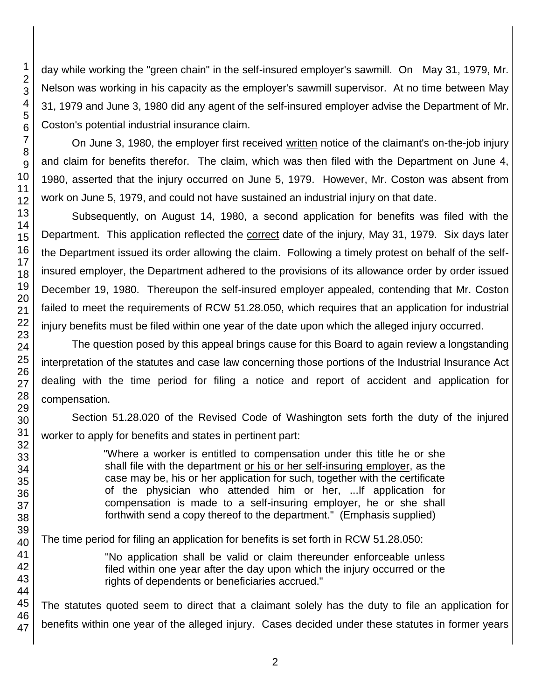day while working the "green chain" in the self-insured employer's sawmill. On May 31, 1979, Mr. Nelson was working in his capacity as the employer's sawmill supervisor. At no time between May 31, 1979 and June 3, 1980 did any agent of the self-insured employer advise the Department of Mr. Coston's potential industrial insurance claim.

On June 3, 1980, the employer first received written notice of the claimant's on-the-job injury and claim for benefits therefor. The claim, which was then filed with the Department on June 4, 1980, asserted that the injury occurred on June 5, 1979. However, Mr. Coston was absent from work on June 5, 1979, and could not have sustained an industrial injury on that date.

Subsequently, on August 14, 1980, a second application for benefits was filed with the Department. This application reflected the correct date of the injury, May 31, 1979. Six days later the Department issued its order allowing the claim. Following a timely protest on behalf of the selfinsured employer, the Department adhered to the provisions of its allowance order by order issued December 19, 1980. Thereupon the self-insured employer appealed, contending that Mr. Coston failed to meet the requirements of RCW 51.28.050, which requires that an application for industrial injury benefits must be filed within one year of the date upon which the alleged injury occurred.

The question posed by this appeal brings cause for this Board to again review a longstanding interpretation of the statutes and case law concerning those portions of the Industrial Insurance Act dealing with the time period for filing a notice and report of accident and application for compensation.

Section 51.28.020 of the Revised Code of Washington sets forth the duty of the injured worker to apply for benefits and states in pertinent part:

> "Where a worker is entitled to compensation under this title he or she shall file with the department or his or her self-insuring employer, as the case may be, his or her application for such, together with the certificate of the physician who attended him or her, ...If application for compensation is made to a self-insuring employer, he or she shall forthwith send a copy thereof to the department." (Emphasis supplied)

The time period for filing an application for benefits is set forth in RCW 51.28.050:

"No application shall be valid or claim thereunder enforceable unless filed within one year after the day upon which the injury occurred or the rights of dependents or beneficiaries accrued."

The statutes quoted seem to direct that a claimant solely has the duty to file an application for benefits within one year of the alleged injury. Cases decided under these statutes in former years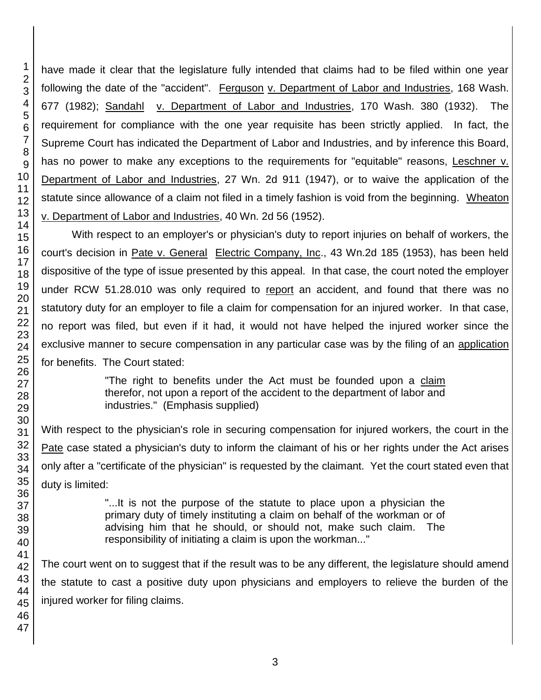have made it clear that the legislature fully intended that claims had to be filed within one year following the date of the "accident". Ferguson v. Department of Labor and Industries, 168 Wash. 677 (1982); Sandahl v. Department of Labor and Industries, 170 Wash. 380 (1932). The requirement for compliance with the one year requisite has been strictly applied. In fact, the Supreme Court has indicated the Department of Labor and Industries, and by inference this Board, has no power to make any exceptions to the requirements for "equitable" reasons, Leschner v. Department of Labor and Industries, 27 Wn. 2d 911 (1947), or to waive the application of the statute since allowance of a claim not filed in a timely fashion is void from the beginning. Wheaton v. Department of Labor and Industries, 40 Wn. 2d 56 (1952).

With respect to an employer's or physician's duty to report injuries on behalf of workers, the court's decision in Pate v. General Electric Company, Inc., 43 Wn.2d 185 (1953), has been held dispositive of the type of issue presented by this appeal. In that case, the court noted the employer under RCW 51.28.010 was only required to report an accident, and found that there was no statutory duty for an employer to file a claim for compensation for an injured worker. In that case, no report was filed, but even if it had, it would not have helped the injured worker since the exclusive manner to secure compensation in any particular case was by the filing of an application for benefits. The Court stated:

> "The right to benefits under the Act must be founded upon a claim therefor, not upon a report of the accident to the department of labor and industries." (Emphasis supplied)

With respect to the physician's role in securing compensation for injured workers, the court in the Pate case stated a physician's duty to inform the claimant of his or her rights under the Act arises only after a "certificate of the physician" is requested by the claimant. Yet the court stated even that duty is limited:

> "...It is not the purpose of the statute to place upon a physician the primary duty of timely instituting a claim on behalf of the workman or of advising him that he should, or should not, make such claim. The responsibility of initiating a claim is upon the workman..."

The court went on to suggest that if the result was to be any different, the legislature should amend the statute to cast a positive duty upon physicians and employers to relieve the burden of the injured worker for filing claims.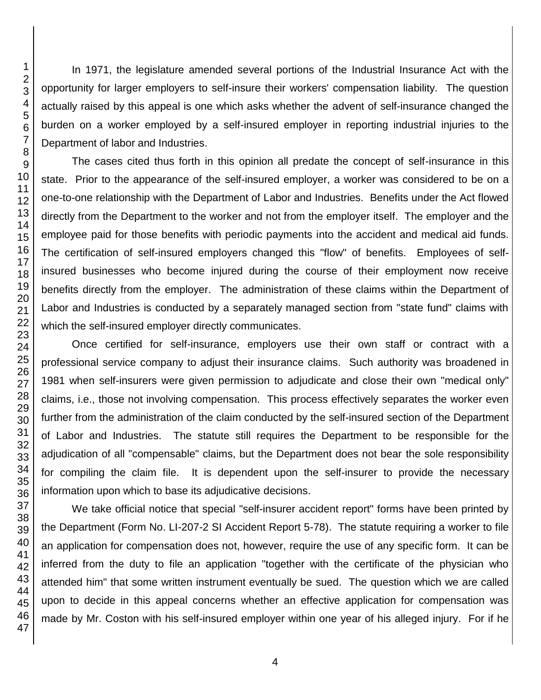In 1971, the legislature amended several portions of the Industrial Insurance Act with the opportunity for larger employers to self-insure their workers' compensation liability. The question actually raised by this appeal is one which asks whether the advent of self-insurance changed the burden on a worker employed by a self-insured employer in reporting industrial injuries to the Department of labor and Industries.

The cases cited thus forth in this opinion all predate the concept of self-insurance in this state. Prior to the appearance of the self-insured employer, a worker was considered to be on a one-to-one relationship with the Department of Labor and Industries. Benefits under the Act flowed directly from the Department to the worker and not from the employer itself. The employer and the employee paid for those benefits with periodic payments into the accident and medical aid funds. The certification of self-insured employers changed this "flow" of benefits. Employees of selfinsured businesses who become injured during the course of their employment now receive benefits directly from the employer. The administration of these claims within the Department of Labor and Industries is conducted by a separately managed section from "state fund" claims with which the self-insured employer directly communicates.

Once certified for self-insurance, employers use their own staff or contract with a professional service company to adjust their insurance claims. Such authority was broadened in 1981 when self-insurers were given permission to adjudicate and close their own "medical only" claims, i.e., those not involving compensation. This process effectively separates the worker even further from the administration of the claim conducted by the self-insured section of the Department of Labor and Industries. The statute still requires the Department to be responsible for the adjudication of all "compensable" claims, but the Department does not bear the sole responsibility for compiling the claim file. It is dependent upon the self-insurer to provide the necessary information upon which to base its adjudicative decisions.

We take official notice that special "self-insurer accident report" forms have been printed by the Department (Form No. LI-207-2 SI Accident Report 5-78). The statute requiring a worker to file an application for compensation does not, however, require the use of any specific form. It can be inferred from the duty to file an application "together with the certificate of the physician who attended him" that some written instrument eventually be sued. The question which we are called upon to decide in this appeal concerns whether an effective application for compensation was made by Mr. Coston with his self-insured employer within one year of his alleged injury. For if he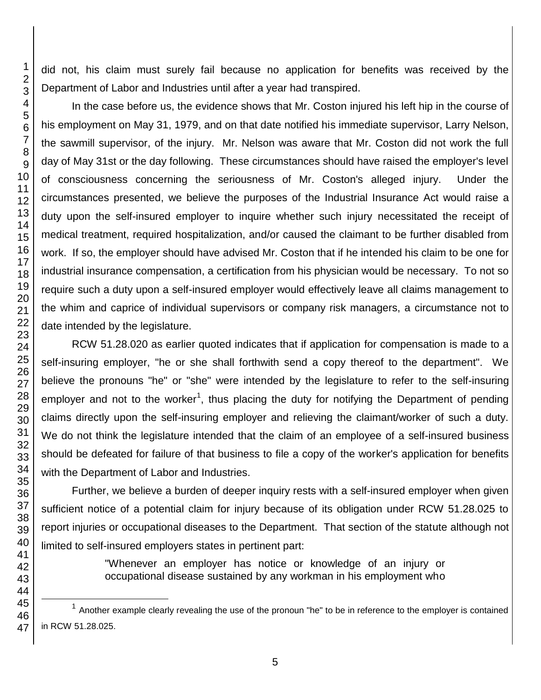did not, his claim must surely fail because no application for benefits was received by the Department of Labor and Industries until after a year had transpired.

In the case before us, the evidence shows that Mr. Coston injured his left hip in the course of his employment on May 31, 1979, and on that date notified his immediate supervisor, Larry Nelson, the sawmill supervisor, of the injury. Mr. Nelson was aware that Mr. Coston did not work the full day of May 31st or the day following. These circumstances should have raised the employer's level of consciousness concerning the seriousness of Mr. Coston's alleged injury. Under the circumstances presented, we believe the purposes of the Industrial Insurance Act would raise a duty upon the self-insured employer to inquire whether such injury necessitated the receipt of medical treatment, required hospitalization, and/or caused the claimant to be further disabled from work. If so, the employer should have advised Mr. Coston that if he intended his claim to be one for industrial insurance compensation, a certification from his physician would be necessary. To not so require such a duty upon a self-insured employer would effectively leave all claims management to the whim and caprice of individual supervisors or company risk managers, a circumstance not to date intended by the legislature.

RCW 51.28.020 as earlier quoted indicates that if application for compensation is made to a self-insuring employer, "he or she shall forthwith send a copy thereof to the department". We believe the pronouns "he" or "she" were intended by the legislature to refer to the self-insuring employer and not to the worker<sup>1</sup>, thus placing the duty for notifying the Department of pending claims directly upon the self-insuring employer and relieving the claimant/worker of such a duty. We do not think the legislature intended that the claim of an employee of a self-insured business should be defeated for failure of that business to file a copy of the worker's application for benefits with the Department of Labor and Industries.

Further, we believe a burden of deeper inquiry rests with a self-insured employer when given sufficient notice of a potential claim for injury because of its obligation under RCW 51.28.025 to report injuries or occupational diseases to the Department. That section of the statute although not limited to self-insured employers states in pertinent part:

> "Whenever an employer has notice or knowledge of an injury or occupational disease sustained by any workman in his employment who

l

 Another example clearly revealing the use of the pronoun "he" to be in reference to the employer is contained in RCW 51.28.025.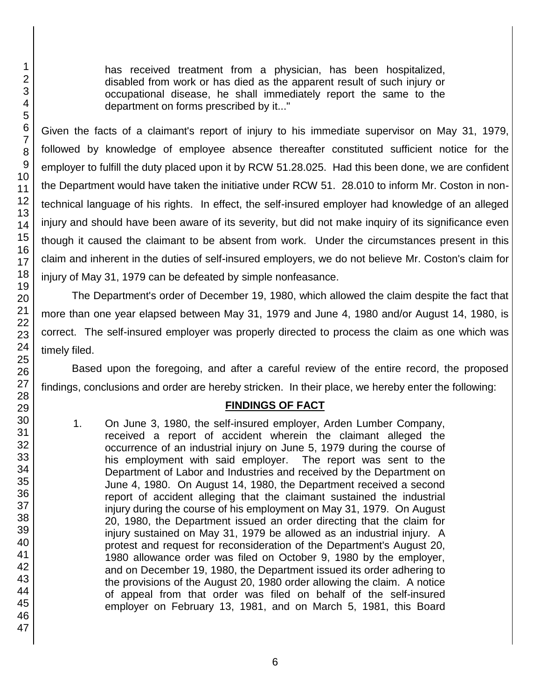has received treatment from a physician, has been hospitalized, disabled from work or has died as the apparent result of such injury or occupational disease, he shall immediately report the same to the department on forms prescribed by it..."

Given the facts of a claimant's report of injury to his immediate supervisor on May 31, 1979, followed by knowledge of employee absence thereafter constituted sufficient notice for the employer to fulfill the duty placed upon it by RCW 51.28.025. Had this been done, we are confident the Department would have taken the initiative under RCW 51. 28.010 to inform Mr. Coston in nontechnical language of his rights. In effect, the self-insured employer had knowledge of an alleged injury and should have been aware of its severity, but did not make inquiry of its significance even though it caused the claimant to be absent from work. Under the circumstances present in this claim and inherent in the duties of self-insured employers, we do not believe Mr. Coston's claim for injury of May 31, 1979 can be defeated by simple nonfeasance.

The Department's order of December 19, 1980, which allowed the claim despite the fact that more than one year elapsed between May 31, 1979 and June 4, 1980 and/or August 14, 1980, is correct. The self-insured employer was properly directed to process the claim as one which was timely filed.

Based upon the foregoing, and after a careful review of the entire record, the proposed findings, conclusions and order are hereby stricken. In their place, we hereby enter the following:

## **FINDINGS OF FACT**

1. On June 3, 1980, the self-insured employer, Arden Lumber Company, received a report of accident wherein the claimant alleged the occurrence of an industrial injury on June 5, 1979 during the course of his employment with said employer. The report was sent to the Department of Labor and Industries and received by the Department on June 4, 1980. On August 14, 1980, the Department received a second report of accident alleging that the claimant sustained the industrial injury during the course of his employment on May 31, 1979. On August 20, 1980, the Department issued an order directing that the claim for injury sustained on May 31, 1979 be allowed as an industrial injury. A protest and request for reconsideration of the Department's August 20, 1980 allowance order was filed on October 9, 1980 by the employer, and on December 19, 1980, the Department issued its order adhering to the provisions of the August 20, 1980 order allowing the claim. A notice of appeal from that order was filed on behalf of the self-insured employer on February 13, 1981, and on March 5, 1981, this Board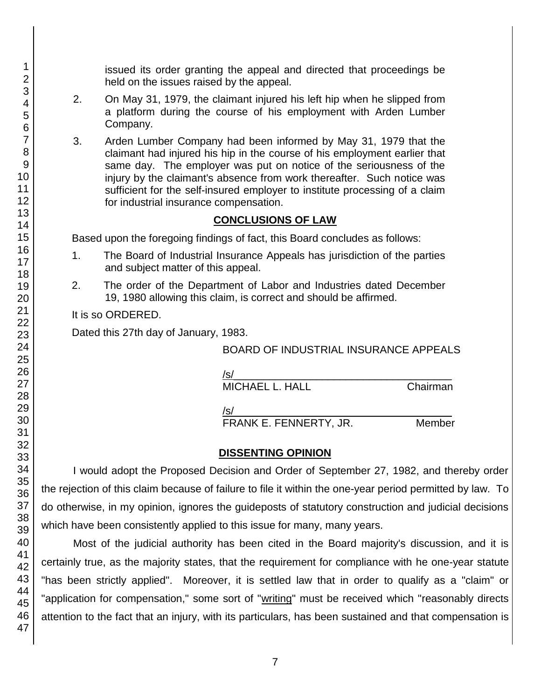issued its order granting the appeal and directed that proceedings be held on the issues raised by the appeal.

- 2. On May 31, 1979, the claimant injured his left hip when he slipped from a platform during the course of his employment with Arden Lumber Company.
- 3. Arden Lumber Company had been informed by May 31, 1979 that the claimant had injured his hip in the course of his employment earlier that same day. The employer was put on notice of the seriousness of the injury by the claimant's absence from work thereafter. Such notice was sufficient for the self-insured employer to institute processing of a claim for industrial insurance compensation.

#### **CONCLUSIONS OF LAW**

Based upon the foregoing findings of fact, this Board concludes as follows:

- 1. The Board of Industrial Insurance Appeals has jurisdiction of the parties and subject matter of this appeal.
- 2. The order of the Department of Labor and Industries dated December 19, 1980 allowing this claim, is correct and should be affirmed.

It is so ORDERED.

Dated this 27th day of January, 1983.

BOARD OF INDUSTRIAL INSURANCE APPEALS

| $\sqrt{s}$             |          |
|------------------------|----------|
| <b>MICHAEL L. HALL</b> | Chairman |
|                        |          |

 $/$ s/ $\sim$ FRANK E. FENNERTY, JR. Member

### **DISSENTING OPINION**

I would adopt the Proposed Decision and Order of September 27, 1982, and thereby order the rejection of this claim because of failure to file it within the one-year period permitted by law. To do otherwise, in my opinion, ignores the guideposts of statutory construction and judicial decisions which have been consistently applied to this issue for many, many years.

Most of the judicial authority has been cited in the Board majority's discussion, and it is certainly true, as the majority states, that the requirement for compliance with he one-year statute "has been strictly applied". Moreover, it is settled law that in order to qualify as a "claim" or "application for compensation," some sort of "writing" must be received which "reasonably directs attention to the fact that an injury, with its particulars, has been sustained and that compensation is

1